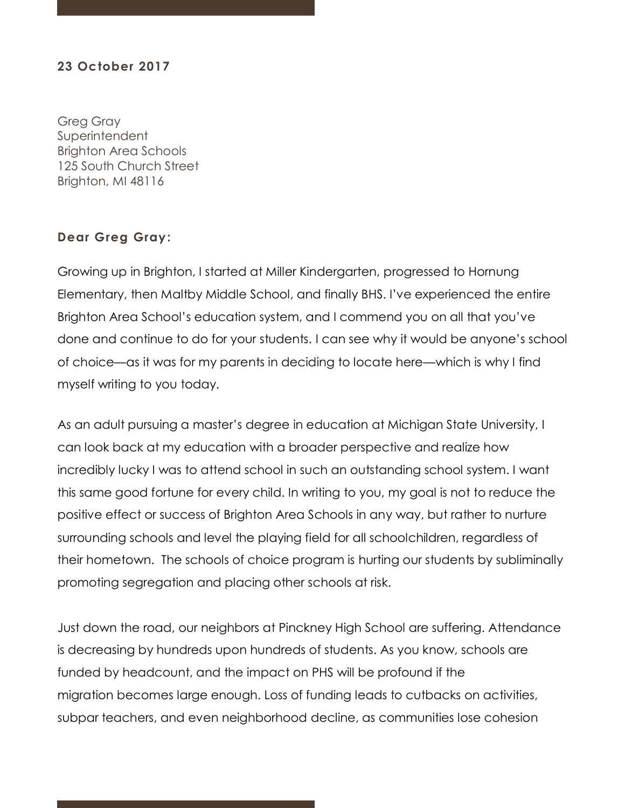## **23 October 2017**

Greg Gray **Superintendent** Brighton Area Schools 125 South Church Street Brighton, MI 48116

## **Dear Greg Gray:**

Growing up in Brighton, I started at Miller Kindergarten, progressed to Hornung Elementary, then Maltby Middle School, and finally BHS. I've experienced the entire Brighton Area School's education system, and I commend you on all that you've done and continue to do for your students. I can see why it would be anyone's school of choice—as it was for my parents in deciding to locate here—which is why I find myself writing to you today.

As an adult pursuing a master's degree in education at Michigan State University, I can look back at my education with a broader perspective and realize how incredibly lucky I was to attend school in such an outstanding school system. I want this same good fortune for every child. In writing to you, my goal is not to reduce the positive effect or success of Brighton Area Schools in any way, but rather to nurture surrounding schools and level the playing field for all schoolchildren, regardless of their hometown. The schools of choice program is hurting our students by subliminally promoting segregation and placing other schools at risk.

Just down the road, our neighbors at Pinckney High School are suffering. Attendance is decreasing by hundreds upon hundreds of students. As you know, schools are funded by headcount, and the impact on PHS will be profound if the migration becomes large enough. Loss of funding leads to cutbacks on activities, subpar teachers, and even neighborhood decline, as communities lose cohesion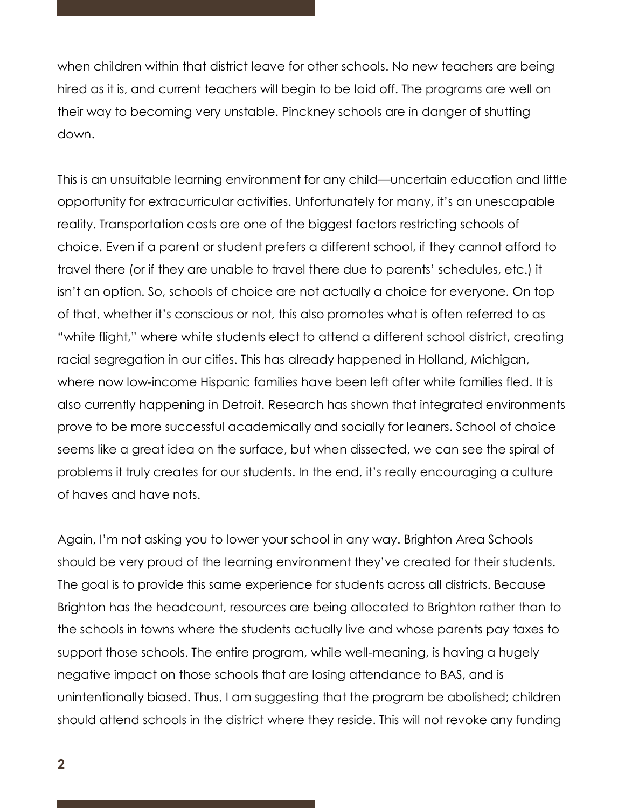when children within that district leave for other schools. No new teachers are being hired as it is, and current teachers will begin to be laid off. The programs are well on their way to becoming very unstable. Pinckney schools are in danger of shutting down.

This is an unsuitable learning environment for any child—uncertain education and little opportunity for extracurricular activities. Unfortunately for many, it's an unescapable reality. Transportation costs are one of the biggest factors restricting schools of choice. Even if a parent or student prefers a different school, if they cannot afford to travel there (or if they are unable to travel there due to parents' schedules, etc.) it isn't an option. So, schools of choice are not actually a choice for everyone. On top of that, whether it's conscious or not, this also promotes what is often referred to as "white flight," where white students elect to attend a different school district, creating racial segregation in our cities. This has already happened in Holland, Michigan, where now low-income Hispanic families have been left after white families fled. It is also currently happening in Detroit. Research has shown that integrated environments prove to be more successful academically and socially for leaners. School of choice seems like a great idea on the surface, but when dissected, we can see the spiral of problems it truly creates for our students. In the end, it's really encouraging a culture of haves and have nots.

Again, I'm not asking you to lower your school in any way. Brighton Area Schools should be very proud of the learning environment they've created for their students. The goal is to provide this same experience for students across all districts. Because Brighton has the headcount, resources are being allocated to Brighton rather than to the schools in towns where the students actually live and whose parents pay taxes to support those schools. The entire program, while well-meaning, is having a hugely negative impact on those schools that are losing attendance to BAS, and is unintentionally biased. Thus, I am suggesting that the program be abolished; children should attend schools in the district where they reside. This will not revoke any funding